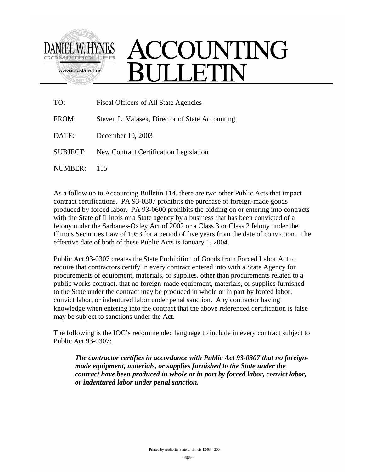

## ACCOUNTING ULLETIN

| TO:      | Fiscal Officers of All State Agencies           |
|----------|-------------------------------------------------|
| FROM:    | Steven L. Valasek, Director of State Accounting |
| DATE:    | December 10, 2003                               |
| SUBJECT: | New Contract Certification Legislation          |
| NUMBER:  | 115                                             |

As a follow up to Accounting Bulletin 114, there are two other Public Acts that impact contract certifications. PA 93-0307 prohibits the purchase of foreign-made goods produced by forced labor. PA 93-0600 prohibits the bidding on or entering into contracts with the State of Illinois or a State agency by a business that has been convicted of a felony under the Sarbanes-Oxley Act of 2002 or a Class 3 or Class 2 felony under the Illinois Securities Law of 1953 for a period of five years from the date of conviction. The effective date of both of these Public Acts is January 1, 2004.

Public Act 93-0307 creates the State Prohibition of Goods from Forced Labor Act to require that contractors certify in every contract entered into with a State Agency for procurements of equipment, materials, or supplies, other than procurements related to a public works contract, that no foreign-made equipment, materials, or supplies furnished to the State under the contract may be produced in whole or in part by forced labor, convict labor, or indentured labor under penal sanction. Any contractor having knowledge when entering into the contract that the above referenced certification is false may be subject to sanctions under the Act.

The following is the IOC's recommended language to include in every contract subject to Public Act 93-0307:

*The contractor certifies in accordance with Public Act 93-0307 that no foreignmade equipment, materials, or supplies furnished to the State under the contract have been produced in whole or in part by forced labor, convict labor, or indentured labor under penal sanction.*